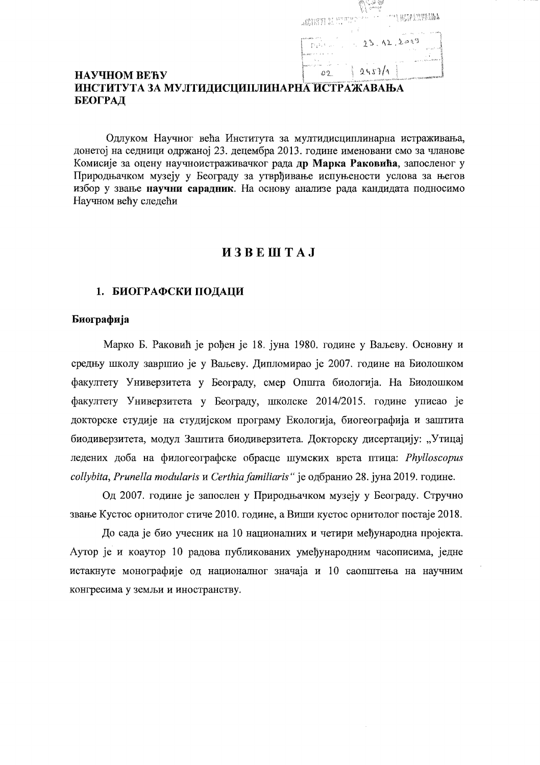| ANONYM BELLIN PETER | $\mathcal{P}^{\text{max}}_{\text{max}} = \frac{1}{2} \sum_{i=1}^{n} \sum_{j=1}^{n} \sum_{j=1}^{n} \sum_{j=1}^{n} \sum_{j=1}^{n} \sum_{j=1}^{n} \sum_{j=1}^{n} \sum_{j=1}^{n} \sum_{j=1}^{n} \sum_{j=1}^{n} \sum_{j=1}^{n} \sum_{j=1}^{n} \sum_{j=1}^{n} \sum_{j=1}^{n} \sum_{j=1}^{n} \sum_{j=1}^{n} \sum_{j=1}^{n} \sum_{j=1}^{n} \sum_{j=1}^{n} \sum_{j$ |
|---------------------|------------------------------------------------------------------------------------------------------------------------------------------------------------------------------------------------------------------------------------------------------------------------------------------------------------------------------------------------------------|
|                     |                                                                                                                                                                                                                                                                                                                                                            |
| 45, 2,              | 23.12.2019                                                                                                                                                                                                                                                                                                                                                 |
|                     |                                                                                                                                                                                                                                                                                                                                                            |
|                     | 2457/1                                                                                                                                                                                                                                                                                                                                                     |

## НАУЧНОМ ВЕЋУ ИНСТИТУТА ЗА МУЛТИДИСЦИПЛИНАРНА ИСТРАЖАВАЊА БЕОГРАД

Одлуком Научног већа Института за мултидисциплинарна истраживања, донетој на седници одржаној 23. децембра 2013. године именовани смо за чланове Комисије за оцену научноистраживачког рада др Марка Раковића, запосленог у Природњачком музеју у Београду за утврђивање испуњености услова за његов избор у звање научни сарадник. На основу анализе рада кандидата подносимо Научном већу следећи

# $M3B E I I I A J$

#### 1. БИОГРАФСКИ ПОДАЦИ

#### Биографија

Марко Б. Раковић је рођен је 18. јуна 1980. године у Ваљеву. Основну и средњу школу завршио је у Ваљеву. Дипломирао је 2007. године на Биолошком факултету Универзитета у Београду, смер Општа биологија. На Биолошком факултету Универзитета у Београду, школске 2014/2015. године уписао је докторске студије на студијском програму Екологија, биогеографија и заштита биодиверзитета, модул Заштита биодиверзитета. Докторску дисертацију: "Утицај ледених доба на филогеографске обрасце шумских врста птица: Phylloscopus collybita, Prunella modularis и Certhia familiaris" је одбранио 28. јуна 2019. године.

Од 2007. године је запослен у Природњачком музеју у Београду. Стручно звање Кустос орнитолог стиче 2010. године, а Виши кустос орнитолог постаје 2018.

До сада је био учесник на 10 националних и четири међународна пројекта. Аутор је и коаутор 10 радова публикованих умеђународним часописима, једне истакнуте монографије од националног значаја и 10 саопштења на научним конгресима у земљи и иностранству.

 $\sim$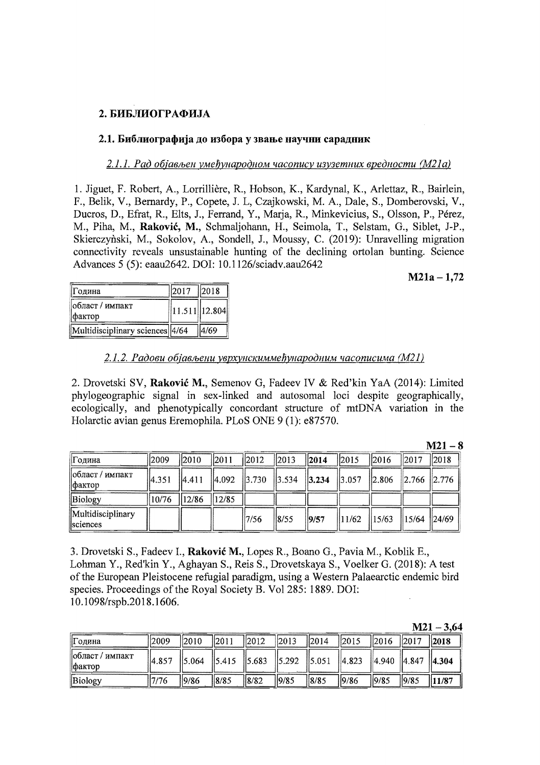# 2. БИБЛИОГРАФИЈА

#### 2.1. Библиографија до избора у звање научни сарадник

#### 2.1.1. Рад објављен умеђународном часопису изузетних вредности (М21а)

1. Jiguet, F. Robert, A., Lorrillière, R., Hobson, K., Kardynal, K., Arlettaz, R., Bairlein, F., Belik, V., Bernardy, P., Copete, J. L., Czajkowski, M. A., Dale, S., Domberovski, V., Ducros, D., Efrat, R., Elts, J., Ferrand, Y., Maria, R., Minkevicius, S., Olsson, P., Pérez, M., Piha, M., Raković, M., Schmaliohann, H., Seimola, T., Selstam, G., Siblet, J-P., Skierczyński, M., Sokolov, A., Sondell, J., Moussy, C. (2019): Unravelling migration connectivity reveals unsustainable hunting of the declining ortolan bunting. Science Advances 5 (5): eaau2642. DOI: 10.1126/sciadv.aau2642

#### $M21a - 1.72$

| Година                          | $\ 2017\ $ $\ 2018\ $ |        |
|---------------------------------|-----------------------|--------|
| област / импакт<br>фактор       | $\ 11.511\ 12.804\ $  |        |
| Multidisciplinary sciences 4/64 |                       | 114/69 |

#### 2.1.2. Радови објављени уврхунскиммеђународним часописима (М21)

2. Drovetski SV, Raković M., Semenov G, Fadeev IV & Red'kin YaA (2014): Limited phylogeographic signal in sex-linked and autosomal loci despite geographically, ecologically, and phenotypically concordant structure of mtDNA variation in the Holarctic avian genus Eremophila, PLoS ONE 9 (1): e87570.

|                                      |       |                |       |       |            |      |                                                                       |                         |                   | $M21 - 8$        |
|--------------------------------------|-------|----------------|-------|-------|------------|------|-----------------------------------------------------------------------|-------------------------|-------------------|------------------|
| Година                               | 2009  | $ 2010\rangle$ | 2011  | 2012  | $\ 2013\ $ | 2014 | $\frac{12015}{20}$                                                    | 2016                    | 2017              | $\parallel$ 2018 |
| област / импакт<br>  фактор          | 4.351 | 4.411          |       |       |            |      | $\begin{vmatrix} 4.092 & 3.730 & 3.534 & 3.234 & 3.057 \end{vmatrix}$ | $\ 2.806\ 2.766\ 2.776$ |                   |                  |
| Biology                              | 10/76 | 12/86          | 12/85 |       |            |      |                                                                       |                         |                   |                  |
| Multidisciplinary<br><i>sciences</i> |       |                |       | 17/56 | 8/55       | 9/57 | $\parallel$ 11/62 $\parallel$ 15/63                                   |                         | $\parallel$ 15/64 | 24/69            |

3. Drovetski S., Fadeev I., Raković M., Lopes R., Boano G., Pavia M., Koblik E., Lohman Y., Red'kin Y., Aghayan S., Reis S., Drovetskaya S., Voelker G. (2018): A test of the European Pleistocene refugial paradigm, using a Western Palaearctic endemic bird species. Proceedings of the Royal Society B. Vol 285: 1889. DOI: 10.1098/rspb.2018.1606.

| M21 | 3.64 |
|-----|------|
|-----|------|

| Година                            | 2009  | $\parallel$ 2010 | 2011 | $\vert$ 2012    | $\vert$ 2013 | $\parallel$ 2014                                                                          | $\frac{1}{2015}$ | 2016                | 2017 | $\parallel$ 2018 |
|-----------------------------------|-------|------------------|------|-----------------|--------------|-------------------------------------------------------------------------------------------|------------------|---------------------|------|------------------|
| област / импакт<br><b>Практор</b> | 4.857 | 5.064            |      |                 |              | $\parallel$ 5.415 $\parallel$ 5.683 $\parallel$ 5.292 $\parallel$ 5.051 $\parallel$ 4.823 |                  | 4.940  4.847  4.304 |      |                  |
| Biology                           | 17/76 | 9/86             | 8/85 | $\frac{18}{82}$ | 19/85        | 8/85                                                                                      | 19/86            | 19/85               | 9/85 | 11/87            |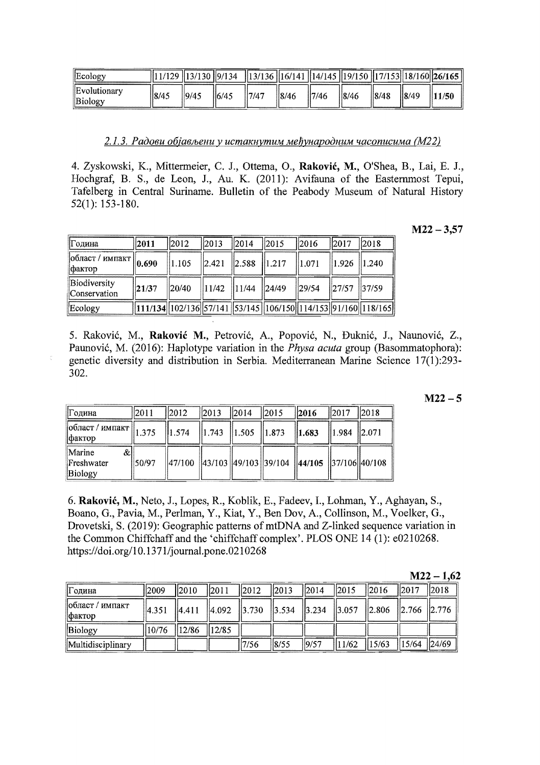| Ecology                 |       |       | $\frac{1}{11/129}$ $\frac{1}{3/130}$ $\frac{1}{9/134}$ $\frac{1}{13/136}$ $\frac{1}{16/141}$ $\frac{1}{14/145}$ $\frac{1}{19/150}$ $\frac{1}{17/153}$ $\frac{1}{18/160}$ $\frac{1}{26/165}$ |      |      |       |      |      |      |       |
|-------------------------|-------|-------|---------------------------------------------------------------------------------------------------------------------------------------------------------------------------------------------|------|------|-------|------|------|------|-------|
| Evolutionary<br>Biology | 18/45 | 19/45 | 16/45                                                                                                                                                                                       | 7/47 | 8/46 | 17/46 | 8/46 | 8/48 | 8/49 | 11/50 |

2.1.3. Радови објављени у истакнутим међународним часописима (М22)

4. Zyskowski, K., Mittermeier, C. J., Ottema, O., Raković, M., O'Shea, B., Lai, E. J., Hochgraf, B. S., de Leon, J., Au. K. (2011): Avifauna of the Easternmost Tepui, Tafelberg in Central Suriname. Bulletin of the Peabody Museum of Natural History  $52(1): 153-180.$ 

 $M22 - 3,57$ 

| Година                                                                      | $\ 2011$  | $\parallel$ 2012  | $\frac{1}{2013}$ | $\parallel$ 2014                                      | $\parallel$ 2015                                                                                                                                                                                                                                     | $\parallel$ 2016  | $\parallel$ 2017                    | 2018 |
|-----------------------------------------------------------------------------|-----------|-------------------|------------------|-------------------------------------------------------|------------------------------------------------------------------------------------------------------------------------------------------------------------------------------------------------------------------------------------------------------|-------------------|-------------------------------------|------|
| $\sqrt{1000 \text{m} \text{C}}$ / импакт $\left\  0.690 \right\ $<br>фактор |           | $\ 1.105\ $       | $\ 2.421\ $      | $\ 2.588\ 1.217\ $                                    |                                                                                                                                                                                                                                                      | $\parallel$ 1.071 | $\parallel$ 1.926 $\parallel$ 1.240 |      |
| Biodiversity<br>Conservation                                                | $\ 21/37$ | $\frac{1}{20/40}$ |                  | $\parallel$ 11/42 $\parallel$ 11/44 $\parallel$ 24/49 |                                                                                                                                                                                                                                                      | $\frac{129}{54}$  | $\ 27/57\ 37/59$                    |      |
| Ecology                                                                     |           |                   |                  |                                                       | $\left  \frac{111}{134} \right  \left  \frac{102}{136} \right  \left  \frac{57}{141} \right  \left  \frac{53}{145} \right  \left  \frac{106}{150} \right  \left  \frac{14}{153} \right  \left  \frac{91}{160} \right  \left  \frac{18}{165} \right $ |                   |                                     |      |

5. Raković, M., Raković M., Petrović, A., Popović, N., Đuknić, J., Naunović, Z., Paunović, M. (2016): Haplotype variation in the *Physa acuta* group (Basommatophora): genetic diversity and distribution in Serbia. Mediterranean Marine Science 17(1):293-302.

| M22 |  |  |
|-----|--|--|
|     |  |  |

| Година                                                                                                        | 2011   | 2012                                                       | $\ 2013\ $ $\ 2014\ $ $\ 2015\ $ | $\ 2016\ $  | $\parallel$ 2017 | $\parallel$ 2018 |
|---------------------------------------------------------------------------------------------------------------|--------|------------------------------------------------------------|----------------------------------|-------------|------------------|------------------|
| $\sqrt{100 \text{mac} \cdot 7}$ импакт $\left\  \frac{1.375}{1.375} \right\ $<br>$\theta$ do $\theta$ axistop |        | $\ $ 1.574 $\ $ 1.743 $\ $ 1.505 $\ $ 1.873                |                                  | $\ 1.683\ $ | $\ 1.984\ 2.071$ |                  |
| Marine<br>&l<br>Freshwater<br>Biology                                                                         | 150/97 | $  47/100  43/103  49/103  39/104  44/105  37/106  40/108$ |                                  |             |                  |                  |

6. Raković, M., Neto, J., Lopes, R., Koblik, E., Fadeev, I., Lohman, Y., Aghayan, S., Boano, G., Pavia, M., Perlman, Y., Kiat, Y., Ben Dov, A., Collinson, M., Voelker, G., Drovetski, S. (2019): Geographic patterns of mtDNA and Z-linked sequence variation in the Common Chiffchaff and the 'chiffchaff complex'. PLOS ONE 14 (1): e0210268. https://doi.org/10.1371/journal.pone.0210268

|                           |       |                                     |      |                                   |      |                  |                    |                  |                    | ---  |
|---------------------------|-------|-------------------------------------|------|-----------------------------------|------|------------------|--------------------|------------------|--------------------|------|
| Година                    | 12009 | II2010                              | 2011 | $\parallel$ 2012 $\parallel$ 2013 |      | $\frac{1}{2014}$ | $\frac{1}{2015}$   | $\parallel$ 2016 | $\parallel$ 2017   | 2018 |
| област / импакт<br>фактор | 4.351 |                                     |      |                                   |      |                  |                    |                  |                    |      |
| Biology                   | 10/76 | $\parallel$ 12/86 $\parallel$ 12/85 |      |                                   |      |                  |                    |                  |                    |      |
| Multidisciplinary         |       |                                     |      | 7/56                              | 8/55 | 9/57             | $\ 11/62\ 15/63\ $ |                  | $\ 15/64\ 24/69\ $ |      |

 $M22 - 1.62$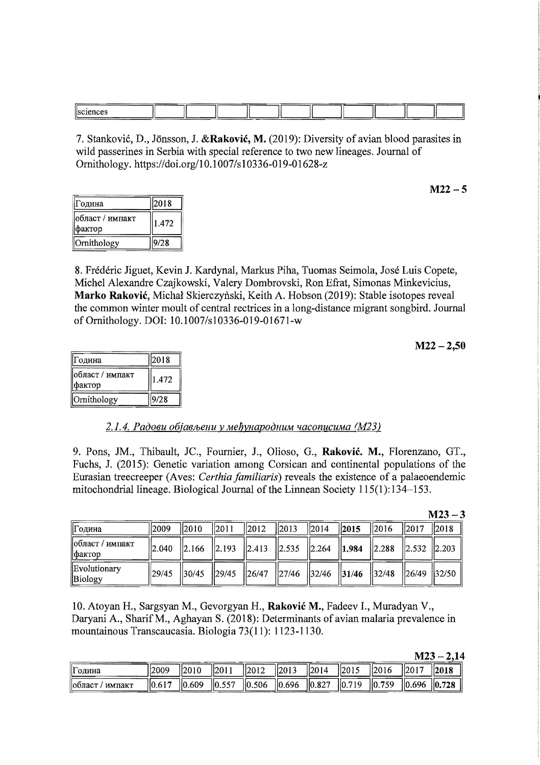|      |             |  |  | ----- |  |  |
|------|-------------|--|--|-------|--|--|
|      |             |  |  |       |  |  |
|      |             |  |  |       |  |  |
| lie. |             |  |  |       |  |  |
|      |             |  |  |       |  |  |
|      |             |  |  |       |  |  |
|      | ----------- |  |  |       |  |  |
|      |             |  |  |       |  |  |

7. Stanković, D., Jönsson, J. &Raković, M. (2019): Diversity of avian blood parasites in wild passerines in Serbia with special reference to two new lineages. Journal of Ornithology. *https:lldoi.org/lO.1007/s10336-019-01628-z* 

| Година                    | 2018  |
|---------------------------|-------|
| област / импакт<br>фактор | 1.472 |
| Ornithology               | 9/28  |

8. Frederic Jiguet, Kevin J. Kardynal, Markus Piha, Tuomas Seimola, Jose Luis Copete, Michel Alexandre Czajkowski, Valery Dombrovski, Ron Efrat, Simonas Minkevicius, Marko Rakovic, Michal Skierczynski, Keith A. Hobson (2019): Stable isotopes reveal the common winter moult of central rectrices in a long-distance migrant songbird. Journal of Ornithology. DOl: 1O.1007/s10336-019-01671-w

 $M22 - 2,50$ 

 $M22 - 5$ 

| ∣Година                   | 2018  |
|---------------------------|-------|
| област / импакт<br>фактор | 1.472 |
| Ornithology               | 9/28  |

#### $2.1.4.$  Радови објављени у међународним часописима *(M23)*

9. Pons, JM., Thibault, JC., Fournier, J., Olioso, G., Rakovic. M., Florenzano, GT., Fuchs, J. (2015): Genetic variation among Corsican and continental populations of the Eurasian treecreeper (Aves: Certhia familiaris) reveals the existence of a palaeoendemic mitochondrial lineage. Biological Journal of the Linnean Society  $115(1):134-153$ .

|                                         |                   |                  |      |            |                  |                  |                                                                                                                                 |            |          | $M = J$    |
|-----------------------------------------|-------------------|------------------|------|------------|------------------|------------------|---------------------------------------------------------------------------------------------------------------------------------|------------|----------|------------|
| Година                                  | 12009             | $\parallel$ 2010 | 2011 | $\ 2012\ $ | $\parallel$ 2013 | $\parallel$ 2014 | 2015                                                                                                                            | $\ 2016\ $ | $\ 2017$ | $\ 2018\ $ |
| $\vert$ област / импакт<br>$\phi$ актор | 2.040             |                  |      |            |                  |                  |                                                                                                                                 |            |          |            |
| Evolutionary<br>Biology                 | $\frac{1}{29/45}$ |                  |      |            |                  |                  | $\frac{1}{30/45}$ $\frac{29/45}{26/47}$ $\frac{27/46}{27/46}$ $\frac{32/46}{31/46}$ $\frac{32/48}{32/48}$ $\frac{26/49}{32/50}$ |            |          |            |

10. Atoyan H., Sargsyan M., Gevorgyan H., Raković M., Fadeev I., Muradyan V., Daryani A., SharifM., Aghayan S. (2018): Determinants of avian malaria prevalence in mountainous Transcaucasia. Biologia 73(11): 1123-1130.

| M<br>r<br>. . |  |  |
|---------------|--|--|
|               |  |  |

 $M2<sub>2</sub>$ 

| li۳<br>II одина   | 2009         | 2010        | 201                 | 12012 | 2013               | 2014  | ا ده اا |           |     | 11201 Q |
|-------------------|--------------|-------------|---------------------|-------|--------------------|-------|---------|-----------|-----|---------|
| импакт<br>Побласт | $  0.61^{-}$ | .609<br>.IO | 557<br>l۱n<br>19.JJ | 0.506 | $\vert\vert 0.696$ | 0.827 | 110     | 750<br>HС | 40. | 0.728   |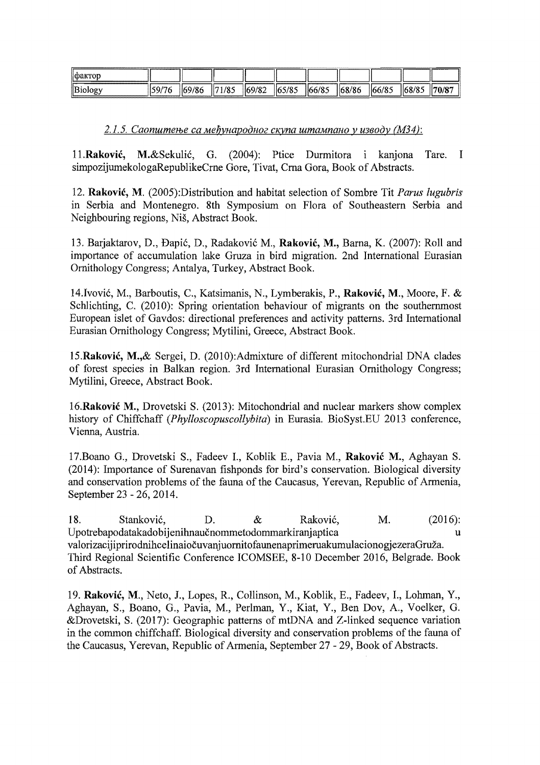| Пфактог |        |        |       |        |       |        |        |         |       |        |
|---------|--------|--------|-------|--------|-------|--------|--------|---------|-------|--------|
| Biology | 159/76 | 169/86 | 71/85 | 169/82 | 65/85 | 166/85 | 168/86 | 1166/85 | 68/85 | 170/87 |

2.1.5. Саопштење са међународног скупа штампано у изводу (МЗ4):

11.Raković. M.&Sekulić, G. (2004); Ptice Durmitora i kanjona Tare.  $\mathbf{I}$ simpozijumekologaRepublikeCrne Gore, Tivat, Crna Gora, Book of Abstracts.

12. Raković, M. (2005):Distribution and habitat selection of Sombre Tit Parus lugubris in Serbia and Montenegro. 8th Symposium on Flora of Southeastern Serbia and Neighbouring regions, Niš, Abstract Book.

13. Barjaktarov, D., Đapić, D., Radaković M., Raković, M., Barna, K. (2007): Roll and importance of accumulation lake Gruza in bird migration. 2nd International Eurasian Ornithology Congress; Antalya, Turkey, Abstract Book.

14. Ivović, M., Barboutis, C., Katsimanis, N., Lymberakis, P., Raković, M., Moore, F. & Schlichting, C. (2010): Spring orientation behaviour of migrants on the southernmost European islet of Gavdos: directional preferences and activity patterns. 3rd International Eurasian Ornithology Congress; Mytilini, Greece, Abstract Book.

15. Raković, M., & Sergei, D. (2010): Admixture of different mitochondrial DNA clades of forest species in Balkan region. 3rd International Eurasian Ornithology Congress; Mytilini, Greece, Abstract Book.

16. Raković M., Drovetski S. (2013): Mitochondrial and nuclear markers show complex history of Chiffchaff (Phylloscopuscollybita) in Eurasia. BioSyst.EU 2013 conference, Vienna, Austria.

17. Boano G., Drovetski S., Fadeev I., Koblik E., Pavia M., Raković M., Aghayan S. (2014): Importance of Surenavan fishponds for bird's conservation. Biological diversity and conservation problems of the fauna of the Caucasus, Yerevan, Republic of Armenia, September 23 - 26, 2014.

18.  $\&$  $M<sub>1</sub>$  $(2016):$ Stanković, D. Raković, Upotrebapodatakadobijenihnaučnommetodommarkiranjaptica 'n. valorizacijiprirodnih celinaiočuvanju ornitofa unena primeru akumulacionog jezera Gruža. Third Regional Scientific Conference ICOMSEE, 8-10 December 2016, Belgrade. Book of Abstracts.

19. Raković, M., Neto, J., Lopes, R., Collinson, M., Koblik, E., Fadeev, I., Lohman, Y., Aghayan, S., Boano, G., Pavia, M., Perlman, Y., Kiat, Y., Ben Dov, A., Voelker, G. &Drovetski, S. (2017): Geographic patterns of mtDNA and Z-linked sequence variation in the common chiffchaff. Biological diversity and conservation problems of the fauna of the Caucasus, Yerevan, Republic of Armenia, September 27 - 29, Book of Abstracts.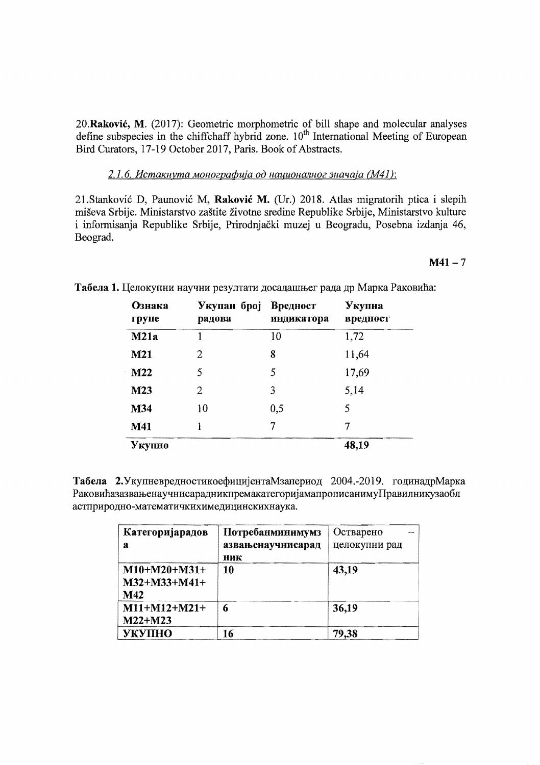20. Raković, M. (2017): Geometric morphometric of bill shape and molecular analyses define subspecies in the chiffchaff hybrid zone.  $10<sup>th</sup>$  International Meeting of European Bird Curators, 17-19 October 2017, Paris. Book of Abstracts.

## 2.1.6. Истакнута монографија од националног значаја (М41):

21. Stanković D, Paunović M, Raković M. (Ur.) 2018. Atlas migratorih ptica i slepih miševa Srbije. Ministarstvo zaštite životne sredine Republike Srbije, Ministarstvo kulture i informisanja Republike Srbije, Prirodnjački muzej u Beogradu, Posebna izdanja 46, Beograd.

 $M41 - 7$ 

| Ознака<br>групе | Укупан број<br>радова | Вредност<br>индикатора | Укупна<br>вредност |
|-----------------|-----------------------|------------------------|--------------------|
| M21a            |                       | 10                     | 1,72               |
| M21             | 2                     | 8                      | 11,64              |
| M22             | 5                     | 5                      | 17,69              |
| M23             | 2                     | 3                      | 5,14               |
| M34             | 10                    | 0,5                    | 5                  |
| M41             |                       | 7                      | 7                  |
| Укупно          |                       |                        | 48,19              |

Табела 1. Целокупни научни резултати досадашњег рада др Марка Раковића:

Табела 2. Укупневредностикоефицијента Мзапериод 2004.-2019. годинадр Марка РаковићазазвањенаучнисарадникпремакатегоријамапрописанимуПравилникузаобл астприродно-математичкихимедицинскихнаука.

| Категоријарадов | Потребанминимумз  | Остварено     |
|-----------------|-------------------|---------------|
| а               | азвањенаучнисарад | целокупни рад |
|                 | ник               |               |
| $M10+M20+M31+$  | 10                | 43,19         |
| M32+M33+M41+    |                   |               |
| M42             |                   |               |
| $M11+M12+M21+$  | 6                 | 36,19         |
| $M22+M23$       |                   |               |
| <b>УКУПНО</b>   | 16                | 79,38         |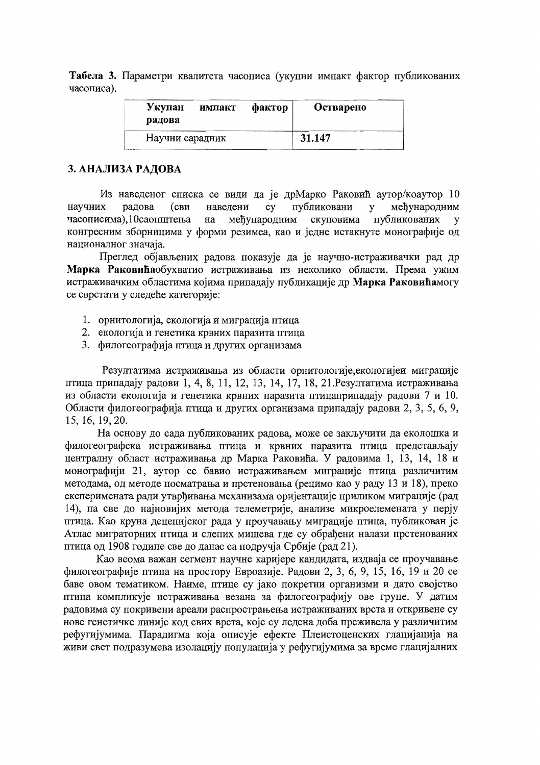Табела 3. Параметри квалитета часописа (укупни импакт фактор публикованих часописа).

| Укупан<br>радова | импакт | фактор | Остварено |
|------------------|--------|--------|-----------|
| Научни сарадник  |        |        | 31.147    |

## 3. АНАЛИЗА РАДОВА

Из наведеног списка се види да је дрМарко Раковић аутор/коаутор 10 радова публиковани међународним научних (сви наведени  $cy$  $\mathbf{v}$ публикованих у часописима), 10саопштења међународним скуповима на конгресним зборницима у форми резимеа, као и једне истакнуте монографије од националног значаја.

Преглед објављених радова показује да је научно-истраживачки рад др Марка Раковићаобухватио истраживања из неколико области. Према ужим истраживачким областима којима припадају публикације др Марка Раковићамогу се сврстати у следеће категорије:

- 1. орнитологија, екологија и миграција птица
- 2. екологија и генетика крвних паразита птица
- 3. филогеографија птица и других организама

Резултатима истраживања из области орнитологије, екологијеи миграције птица припадају радови 1, 4, 8, 11, 12, 13, 14, 17, 18, 21. Резултатима истраживања из области екологија и генетика крвних паразита птицаприпадају радови 7 и 10. Области филогеографија птица и других организама припадају радови 2, 3, 5, 6, 9, 15, 16, 19, 20.

На основу до сада публикованих радова, може се закључити да еколошка и филогеографска истраживања птица и крвних паразита птица представљају централну област истраживања др Марка Раковића. У радовима 1, 13, 14, 18 и монографији 21, аутор се бавио истраживањем миграције птица различитим методама, од методе посматрања и прстеновања (рецимо као у раду 13 и 18), преко експеримената ради утврђивања механизама оријентације приликом миграције (рад 14), па све до најновијих метода телеметрије, анализе микроелемената у перју птица. Као круна деценијског рада у проучавању миграције птица, публикован је Атлас миграторних птица и слепих мишева где су обрађени налази прстенованих птица од 1908 године све до данас са подручја Србије (рад 21).

Као веома важан сегмент научне каријере кандидата, издваја се проучавање филогеографије птица на простору Евроазије. Радови 2, 3, 6, 9, 15, 16, 19 и 20 се баве овом тематиком. Наиме, птице су јако покретни организми и дато својство птица компликује истраживања везана за филогеографију ове групе. У датим радовима су покривени ареали распрострањења истраживаних врста и откривене су нове генетичке линије код свих врста, које су ледена доба преживела у различитим рефугијумима. Парадигма која описује ефекте Плеистоценских глацијација на живи свет подразумева изолацију популација у рефугијумима за време глацијалних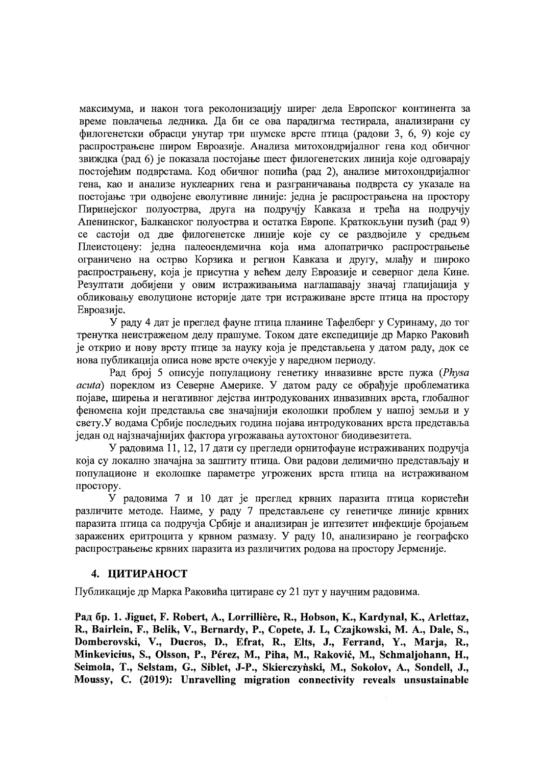максимума, и након тога реколонизацију ширег дела Европског континента за време повлачења ледника. Да би се ова парадигма тестирала, анализирани су филогенетски обрасци унутар три шумске врсте птица (радови 3, 6, 9) које су распрострањене широм Евроазије. Анализа митохондријалног гена код обичног звиждка (рад 6) је показала постојање шест филогенетских линија које одговарају постојећим подврстама. Код обичног попића (рад 2), анализе митохондријалног гена, као и анализе нуклеарних гена и разграничавања подврста су указале на постојање три одвојене еволутивне линије: једна је распрострањена на простору Пиринејског полуострва, друга на подручју Кавказа и трећа на подручју Апенинског, Балканског полуострва и остатка Европе. Краткокљуни пузић (рад 9) се састоји од две филогенетске линије које су се раздвојиле у средњем Плеистоцену: једна палеоендемична која има алопатричко распрострањење ограничено на острво Корзика и регион Кавказа и другу, млађу и широко распрострањену, која је присутна у већем делу Евроазије и северног дела Кине. Резултати добијени у овим истраживањима наглашавају значај глацијација у обликовању еволуционе историје дате три истраживане врсте птица на простору Евроазије.

У раду 4 дат је преглед фауне птица планине Тафелберг у Суринаму, до тог тренутка неистраженом делу прашуме. Током дате експедиције др Марко Раковић је открио и нову врсту птице за науку која је представљена у датом раду, док се нова публикација описа нове врсте очекује у наредном периоду.

Рад број 5 описује популациону генетику инвазивне врсте пужа (Physa acuta) пореклом из Северне Америке. У датом раду се обрађује проблематика појаве, ширења и негативног дејства интродукованих инвазивних врста, глобалног феномена који представља све значајнији еколошки проблем у нашој земљи и у свету. У водама Србије последњих година појава интродукованих врста представља један од најзначајнијих фактора угрожавања аутохтоног биодивезитета.

У радовима 11, 12, 17 дати су прегледи орнитофауне истраживаних подручја која су локално значајна за заштиту птица. Ови радови делимично представљају и популационе и еколошке параметре угрожених врста птица на истраживаном простору.

У радовима 7 и 10 дат је преглед крвних паразита птица користећи различите методе. Наиме, у раду 7 представљене су генетичке линије крвних паразита птица са подручја Србије и анализиран је интезитет инфекције бројањем заражених еритроцита у крвном размазу. У раду 10, анализирано је географско распрострањење крвних паразита из различитих родова на простору Јерменије.

#### 4. ЦИТИРАНОСТ

Публикације др Марка Раковића цитиране су 21 пут у научним радовима.

Рад бр. 1. Jiguet, F. Robert, A., Lorrillière, R., Hobson, K., Kardynal, K., Arlettaz, R., Bairlein, F., Belik, V., Bernardy, P., Copete, J. L., Czajkowski, M. A., Dale, S., Domberovski, V., Ducros, D., Efrat, R., Elts, J., Ferrand, Y., Marja, R., Minkevicius, S., Olsson, P., Pérez, M., Piha, M., Raković, M., Schmaljohann, H., Seimola, T., Selstam, G., Siblet, J-P., Skierczyński, M., Sokolov, A., Sondell, J., Moussy, C. (2019): Unravelling migration connectivity reveals unsustainable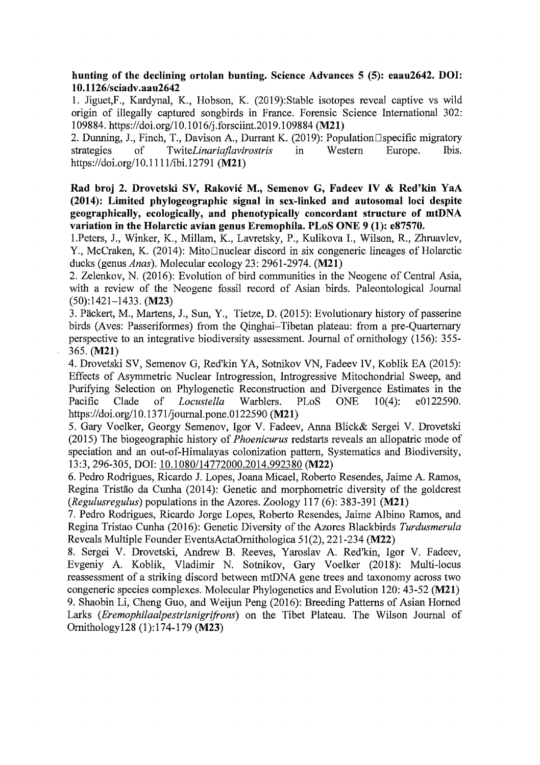hunting of the declining ortolan bunting. Science Advances 5 (5): eaau2642. DOl: 1 0.1126/sciadv .aau2642

1. Jiguet,F., Kardynal, K., Hobson, K. (2019):Stable isotopes reveal captive vs wild origin of illegally captured songbirds in France. Forensic Science International 302: 109884. https://doi.org/10.1016/j.forsciint.2019.109884 (M21)

2. Dunning, J., Finch, T., Davison A., Durrant K. (2019): Population Dispecific migratory strategies of Twite Linariaflavirostris in Western Europe. Ibis. Twite*Linariaflavirostris* https://doi.org/10.1111/ibi.12791 (M21)

Rad broj 2. Drovetski SV, Rakovic M., Semenov G, Fadeev IV & Red'kin YaA (2014): Limited phylogeographic signal in sex-linked and autosomal loci despite geographically, ecologically, and phenotypically concordant structure of mtDNA variation in the Holarctic avian genus Eremophila. PLoS ONE 9 (1): e87570.

l.Peters, J., Winker, K., Millam, K., Lavretsky, P., Kulikova 1., Wilson, R., Zhruavlev, Y., McCraken, K. (2014): Mito□nuclear discord in six congeneric lineages of Holarctic ducks (genus *Anas).* Molecular ecology 23: 2961-2974. (M21)

2. Zelenkov, N. (2016): Evolution of bird communities in the Neogene of Central Asia, with a review of the Neogene fossil record of Asian birds. Paleontological Journal (50):1421-1433. (M23)

3. Packert, M., Martens, J., Sun, Y, Tietze, D. (2015): Evolutionary history of passerine birds (Aves: Passeriformes) from the Qinghai-Tibetan plateau: from a pre-Quarternary perspective to an integrative biodiversity assessment. Journal of ornithology (156): 355 365. (M21)

4. Drovetski SV, Semenov G, Red'kin YA, Sotnikov VN, Fadeev IV, Koblik EA (2015): Effects of Asymmetric Nuclear Introgression, Introgressive Mitochondrial Sweep, and Purifying Selection on Phylogenetic Reconstruction and Divergence Estimates in the Pacific Clade of *Locustella* Warblers. PLoS ONE 10(4): e0122590. https://doi.org/10.1371/journal.pone.0122590 (M21)

5. Gary Voelker, Georgy Semenov, Igor V. Fadeev, Anna Blick& Sergei V. Drovetski (2015) The biogeographic history of *Phoenicurus* redstarts reveals an allopatric mode of speciation and an out-of-Himalayas colonization pattern, Systematics and Biodiversity, 13:3,296-305, DOl: 10.1080/14772000.2014.992380 (M22)

6. Pedro Rodrigues, Ricardo J. Lopes, Joana Micael, Roberto Resendes, Jaime A Ramos, Regina Tristão da Cunha (2014): Genetic and morphometric diversity of the goldcrest *(Regulusregulus)* populations in the Azores. Zoology 117 (6): 383-391 (M21)

7. Pedro Rodrigues, Ricardo Jorge Lopes, Roberto Resendes, Jaime Albino Ramos, and Regina Tristao Cunha (2016): Genetic Diversity of the Azores Blackbirds *Turdusmerula*  Reveals Multiple Founder EventsActaOrnithologica 51(2),221-234 (M22)

8. Sergei V. Drovetski, Andrew B. Reeves, Yaroslav A. Red'kin, Igor V. Fadeev, Evgeniy A Koblik, Vladimir N. Sotnikov, Gary Voelker (2018): Multi-locus reassessment of a striking discord between mtDNA gene trees and taxonomy across two congeneric species complexes. Molecular Phylogenetics and Evolution 120: 43-52 (M21) 9. Shaobin Li, Cheng Guo, and Weijun Peng (2016): Breeding Patterns of Asian Horned Larks *(Eremophilaalpestrisnigrifrons)* on the Tibet Plateau. The Wilson Journal of Omithology128 (1):174-179 (M23)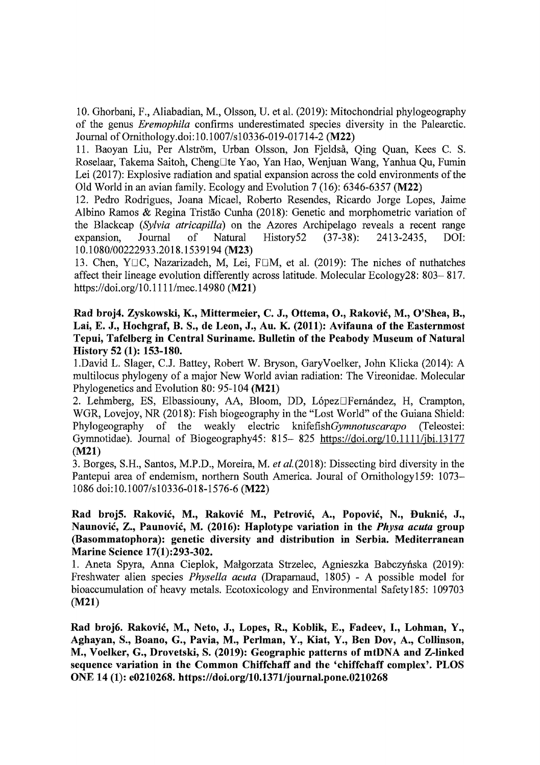10. Ghorbani, F., Aliabadian, M., Olsson, U. et aL (2019): Mitochondrial phylogeography of the genus *Eremophila* confirms underestimated species diversity in the Palearctic. Journal of Ornithology.doi:10.1007/s10336-019-01714-2 (M22)

11. Baoyan Liu, Per Alström, Urban Olsson, Jon Fjeldså, Qing Quan, Kees C. S. Roselaar, Takema Saitoh, ChengDte Yao, Yan Hao, Wenjuan Wang, Yanhua Qu, Fumin Lei (2017): Explosive radiation and spatial expansion across the cold environments of the Old World in an avian family. Ecology and Evolution 7 (16): 6346-6357 (M22)

12. Pedro Rodrigues, Joana Micael, Roberto Resendes, Ricardo Jorge Lopes, Jaime Albino Ramos & Regina Tristao Cunha (2018): Genetic and morphometric variation of the Blackcap *(Sylvia atricapilla)* on the Azores Archipelago reveals a recent range expansion. Journal of Natural History 52 (37-38): 2413-2435. DOI: expansion, Journal of Natural History52 (37-38): 2413-2435, DOl: *10.1080/00222933.2018.1539194* (M23)

13. Chen, YDC, Nazarizadeh, M, Lei, FDM, et al. (2019): The niches of nuthatches affect their lineage evolution differently across latitude. Molecular Ecology28: 803- 817. https://doi.org/10.1111/mec.14980 (M21)

Rad broj4. Zyskowski, K., Mittermeier, C. J., Ottema, 0., Rakovic, M., O'Shea, B., Lai, E. J., Hochgraf, B. S., de Leon, J., Au. K. (2011): Avifauna of the Easternmost Tepui, Tafelberg in Central Suriname. Bulletin of the Peabody Museum of Natural History 52 (1): 153-180.

l.David L. Slager, C.J. Battey, Robert W. Bryson, GaryVoelker, John Klicka (2014): A multilocus phylogeny of a major New World avian radiation: The Vireonidae. Molecular Phylogenetics and Evolution 80: 95-104 (M21)

2. Lehmberg, ES, Elbassiouny, AA, Bloom, DD, López Fernández, H, Crampton, WGR, Lovejoy, NR (2018): Fish biogeography in the "Lost World" of the Guiana Shield: Phylogeography of the weakly electric *knifefishGymnotuscarapo* (Teleostei: Gymnotidae). Journal of Biogeography45: 815-825 https://doi.org/10.1111/jbi.13177 (M21)

3. Borges, S.H., Santos, M.P.D., Moreira, M. *et al.(2018):* Dissecting bird diversity in the Pantepui area of endemism, northern South America. Joural of Ornithology159: 1073 1086 doi:1O.1007/s10336-018-1576-6 (M22)

## Rad broj5. Rakovic, M., Rakovic M., Petrovic, A., Popovic, N., Buknic, J., Naunovic, Z., Paunovic, M. (2016): Haplotype variation in the *Physa acuta* group (Basommatophora): genetic diversity and distribution in Serbia. Mediterranean Marine Science 17(1):293-302.

1. Aneta Spyra, Anna Cieplok, Małgorzata Strzelec, Agnieszka Babczyńska (2019): Freshwater alien species *Physella acuta* (Draparnaud, 1805) - A possible model for bioaccumulation of heavy metals. Ecotoxicology and Environmental Safetyl85: 109703 (M21)

Rad broj6. Rakovic, M., Neto, J., Lopes, R., Koblik, E., Fadeev, I., Lohman, Y., Aghayan, S., Boano, G., Pavia, M., Perlman, Y., Kiat, Y., Ben Dov, A., Collinson, M., Voelker, G., Drovetski, S. (2019): Geographic patterns of mtDNA and Z-Iinked sequence variation in the Common Chiffchaff and the 'chiffchaff complex'. PLOS ONE 14 (1): e0210268. https://doi.org/10.1371/journal.pone.0210268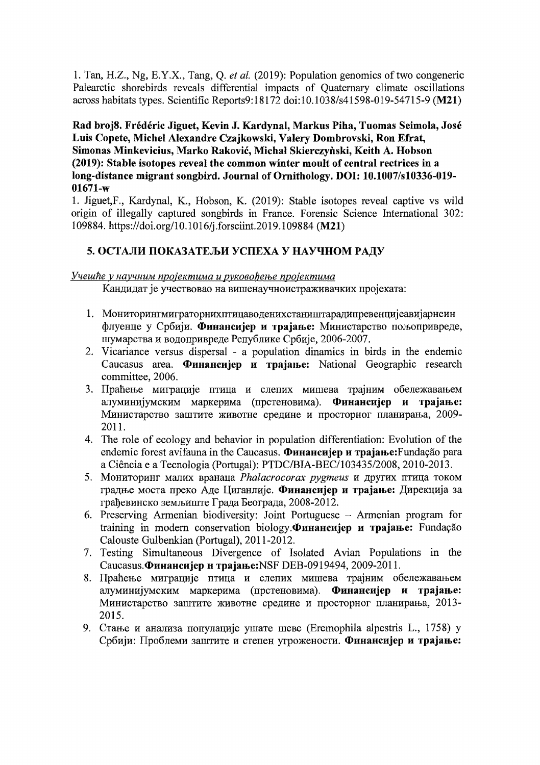1. Tan, H.Z., Ng, E.Y.X., Tang, Q. et al. (2019): Population genomics of two congeneric Palearctic shorebirds reveals differential impacts of Quaternary climate oscillations across habitats types. Scientific Reports9:18172 doi:10.1038/s41598-019-54715-9 (M21)

## Rad broj8. Frédéric Jiguet, Kevin J. Kardynal, Markus Piha, Tuomas Seimola, José Luis Copete, Michel Alexandre Czajkowski, Valery Dombrovski, Ron Efrat, Simonas Minkevicius, Marko Raković, Michał Skierczyński, Keith A. Hobson (2019): Stable isotopes reveal the common winter moult of central rectrices in a long-distance migrant songbird. Journal of Ornithology. DOI: 10.1007/s10336-019- $01671-w$

1. Jiguet, F., Kardynal, K., Hobson, K. (2019): Stable isotopes reveal captive vs wild origin of illegally captured songbirds in France. Forensic Science International 302: 109884. https://doi.org/10.1016/j.forsciint.2019.109884 (M21)

# 5. ОСТАЛИ ПОКАЗАТЕЉИ УСПЕХА У НАУЧНОМ РАДУ

## Учешће у научним пројектима и руковођење пројектима

Кандидат је учествовао на вишенаучноистраживачких пројеката:

- 1. Мониторингмиграторнихптицаводенихстаништарадипревенцијеавијарнеин флуенце у Србији. Финансијер и трајање: Министарство пољопривреде, шумарства и водопривреде Републике Србије, 2006-2007.
- 2. Vicariance versus dispersal a population dinamics in birds in the endemic Caucasus area. Финансијер и трајање: National Geographic research committee, 2006.
- 3. Праћење миграције птица и слепих мишева трајним обележавањем алуминијумским маркерима (прстеновима). Финансијер и трајање: Министарство заштите животне средине и просторног планирања, 2009- $2011.$
- 4. The role of ecology and behavior in population differentiation: Evolution of the endemic forest avifauna in the Caucasus. Финансијер и трајање: Fundação para a Ciência e a Tecnologia (Portugal): PTDC/BIA-BEC/103435/2008, 2010-2013.
- 5. Мониторинг малих вранаца Phalacrocorax pygmeus и других птица током градње моста преко Аде Циганлије. Финансијер и трајање: Дирекција за грађевинско земљиште Града Београда, 2008-2012.
- 6. Preserving Armenian biodiversity: Joint Portuguese Armenian program for training in modern conservation biology. Финансијер и трајање: Fundação Calouste Gulbenkian (Portugal), 2011-2012.
- 7. Testing Simultaneous Divergence of Isolated Avian Populations in the Caucasus. Финансијер и трајање: NSF DEB-0919494, 2009-2011.
- 8. Праћење миграције птица и слепих мишева трајним обележавањем алуминијумским маркерима (прстеновима). Финансијер и трајање: Министарство заштите животне средине и просторног планирања, 2013-2015.
- 9. Стање и анализа популације ушате шеве (Eremophila alpestris L., 1758) у Србији: Проблеми заштите и степен угрожености. Финансијер и трајање: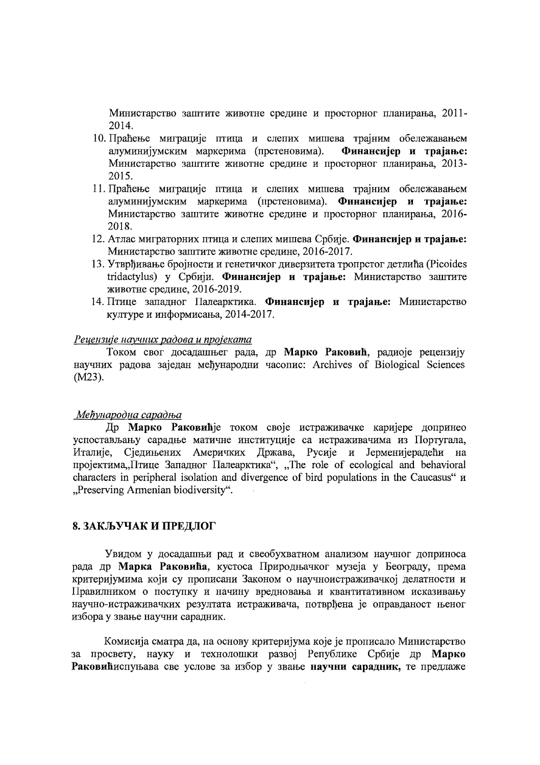Министарство заштите животне средине и просторног планирања, 2011- $2014.$ 

- 10. Праћење миграције птица и слепих мишева трајним обележавањем алуминијумским маркерима (прстеновима). Финансијер и трајање: Министарство заштите животне средине и просторног планирања, 2013-2015.
- 11. Праћење миграције птица и слепих мишева трајним обележавањем алуминијумским маркерима (прстеновима). Финансијер и трајање: Министарство заштите животне средине и просторног планирања, 2016-2018.
- 12. Атлас миграторних птица и слепих мишева Србије. Финансијер и трајање: Министарство заштите животне средине, 2016-2017.
- 13. Утврђивање бројности и генетичког диверзитета тропрстог детлића (Picoides tridactylus) у Србији. Финансијер и трајање: Министарство заштите животне средине, 2016-2019.
- 14. Птице западног Палеарктика. Финансијер и трајање: Министарство културе и информисања, 2014-2017.

#### Рецензије научних радова и пројеката

Током свог досадашњег рада, др Марко Раковић, радиоје рецензију научних радова заједан међународни часопис: Archives of Biological Sciences  $(M23)$ .

#### Међународна сарадња

Др Марко Раковићје током своје истраживачке каријере допринео успостављању сарадње матичне институције са истраживачима из Португала, Италије, Сједињених Америчких Држава, Русије и Јерменијерадећи на пројектима, Птице Западног Палеарктика", "The role of ecological and behavioral characters in peripheral isolation and divergence of bird populations in the Caucasus"  $\mu$ "Preserving Armenian biodiversity".

## 8. ЗАКЉУЧАК И ПРЕДЛОГ

Увидом у досадашњи рад и свеобухватном анализом научног доприноса рада др Марка Раковића, кустоса Природњачког музеја у Београду, према критеријумима који су прописани Законом о научноистраживачкој делатности и Правилником о поступку и начину вредновања и квантитативном исказивању научно-истраживачких резултата истраживача, потврђена је оправданост њеног избора у звање научни сарадник.

Комисија сматра да, на основу критеријума које је прописало Министарство за просвету, науку и технолошки развој Републике Србије др Марко Раковићиспуњава све услове за избор у звање научни сарадник, те предлаже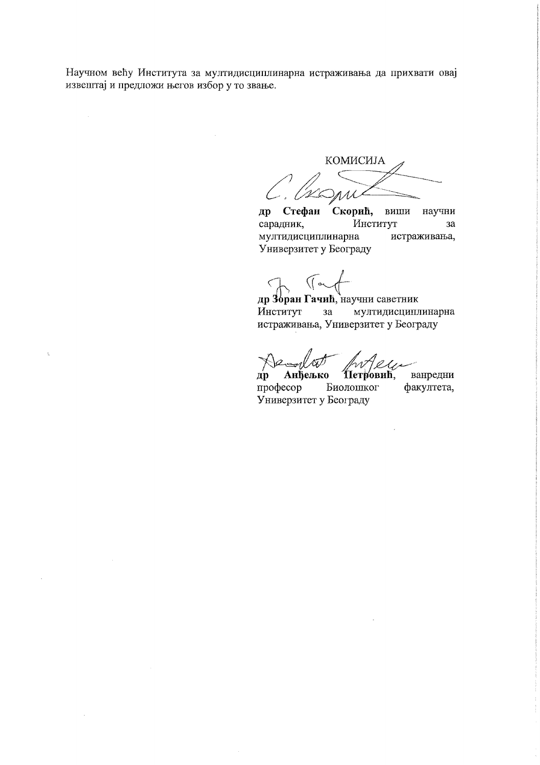Научном већу Института за мултидисциплинарна истраживања да прихвати овај извештај и предложи његов избор у то звање.

КОМИСИЈА

Стефан Скорић, виши  $\boldsymbol{\mu}$ научни Институт сарадник,  $3a$ мултидисциплинарна истраживања, Универзитет у Београду

 $($  or

др Зоран Гачић, научни саветник Институт мултидисциплинарна  $3a$ истраживања, Универзитет у Београду

 $A_{2e}$ 

Анђељко Петровић,  $\mathbf{p}$ професор Биолошког Универзитет у Београду

ванредни факултета,